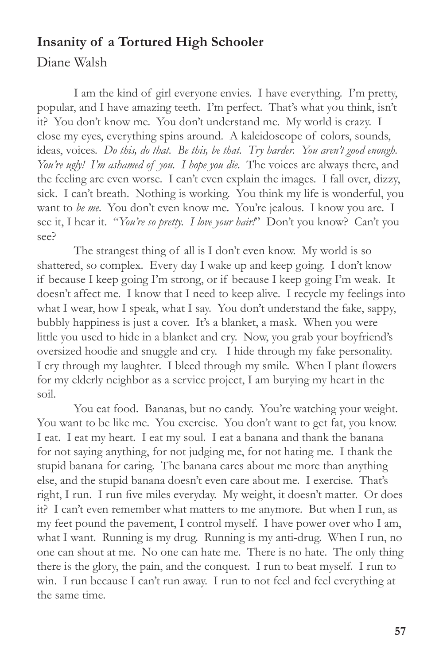## **Insanity of a Tortured High Schooler**

Diane Walsh

I am the kind of girl everyone envies. I have everything. I'm pretty, popular, and I have amazing teeth. I'm perfect. That's what you think, isn't it? You don't know me. You don't understand me. My world is crazy. I close my eyes, everything spins around. A kaleidoscope of colors, sounds, ideas, voices. *Do this, do that. Be this, be that. Try harder. You aren't good enough. You're ugly! I'm ashamed of you. I hope you die.* The voices are always there, and the feeling are even worse. I can't even explain the images. I fall over, dizzy, sick. I can't breath. Nothing is working. You think my life is wonderful, you want to *be me*. You don't even know me. You're jealous. I know you are. I see it, I hear it. "*You're so pretty. I love your hair!*" Don't you know? Can't you see?

The strangest thing of all is I don't even know. My world is so shattered, so complex. Every day I wake up and keep going. I don't know if because I keep going I'm strong, or if because I keep going I'm weak. It doesn't affect me. I know that I need to keep alive. I recycle my feelings into what I wear, how I speak, what I say. You don't understand the fake, sappy, bubbly happiness is just a cover. It's a blanket, a mask. When you were little you used to hide in a blanket and cry. Now, you grab your boyfriend's oversized hoodie and snuggle and cry. I hide through my fake personality. I cry through my laughter. I bleed through my smile. When I plant flowers for my elderly neighbor as a service project, I am burying my heart in the soil.

You eat food. Bananas, but no candy. You're watching your weight. You want to be like me. You exercise. You don't want to get fat, you know. I eat. I eat my heart. I eat my soul. I eat a banana and thank the banana for not saying anything, for not judging me, for not hating me. I thank the stupid banana for caring. The banana cares about me more than anything else, and the stupid banana doesn't even care about me. I exercise. That's right, I run. I run five miles everyday. My weight, it doesn't matter. Or does it? I can't even remember what matters to me anymore. But when I run, as my feet pound the pavement, I control myself. I have power over who I am, what I want. Running is my drug. Running is my anti-drug. When I run, no one can shout at me. No one can hate me. There is no hate. The only thing there is the glory, the pain, and the conquest. I run to beat myself. I run to win. I run because I can't run away. I run to not feel and feel everything at the same time.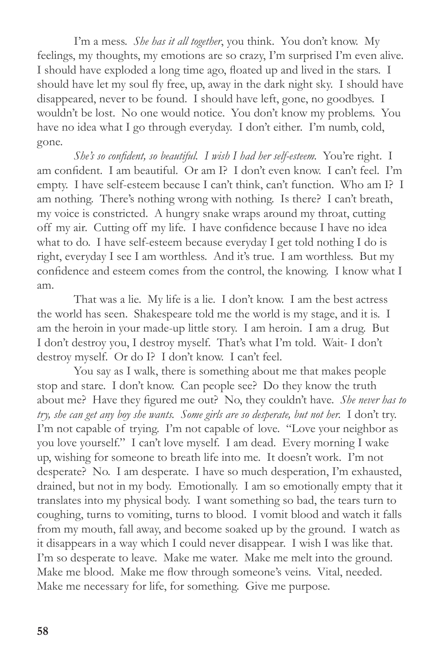I'm a mess. *She has it all together*, you think. You don't know. My feelings, my thoughts, my emotions are so crazy, I'm surprised I'm even alive. I should have exploded a long time ago, floated up and lived in the stars. I should have let my soul fly free, up, away in the dark night sky. I should have disappeared, never to be found. I should have left, gone, no goodbyes. I wouldn't be lost. No one would notice. You don't know my problems. You have no idea what I go through everyday. I don't either. I'm numb, cold, gone.

*She's so confident, so beautiful. I wish I had her self-esteem.* You're right. I am confident. I am beautiful. Or am I? I don't even know. I can't feel. I'm empty. I have self-esteem because I can't think, can't function. Who am I? I am nothing. There's nothing wrong with nothing. Is there? I can't breath, my voice is constricted. A hungry snake wraps around my throat, cutting off my air. Cutting off my life. I have confidence because I have no idea what to do. I have self-esteem because everyday I get told nothing I do is right, everyday I see I am worthless. And it's true. I am worthless. But my confidence and esteem comes from the control, the knowing. I know what I am.

That was a lie. My life is a lie. I don't know. I am the best actress the world has seen. Shakespeare told me the world is my stage, and it is. I am the heroin in your made-up little story. I am heroin. I am a drug. But I don't destroy you, I destroy myself. That's what I'm told. Wait- I don't destroy myself. Or do I? I don't know. I can't feel.

You say as I walk, there is something about me that makes people stop and stare. I don't know. Can people see? Do they know the truth about me? Have they figured me out? No, they couldn't have. *She never has to try, she can get any boy she wants. Some girls are so desperate, but not her.* I don't try. I'm not capable of trying. I'm not capable of love. "Love your neighbor as you love yourself." I can't love myself. I am dead. Every morning I wake up, wishing for someone to breath life into me. It doesn't work. I'm not desperate? No. I am desperate. I have so much desperation, I'm exhausted, drained, but not in my body. Emotionally. I am so emotionally empty that it translates into my physical body. I want something so bad, the tears turn to coughing, turns to vomiting, turns to blood. I vomit blood and watch it falls from my mouth, fall away, and become soaked up by the ground. I watch as it disappears in a way which I could never disappear. I wish I was like that. I'm so desperate to leave. Make me water. Make me melt into the ground. Make me blood. Make me flow through someone's veins. Vital, needed. Make me necessary for life, for something. Give me purpose.